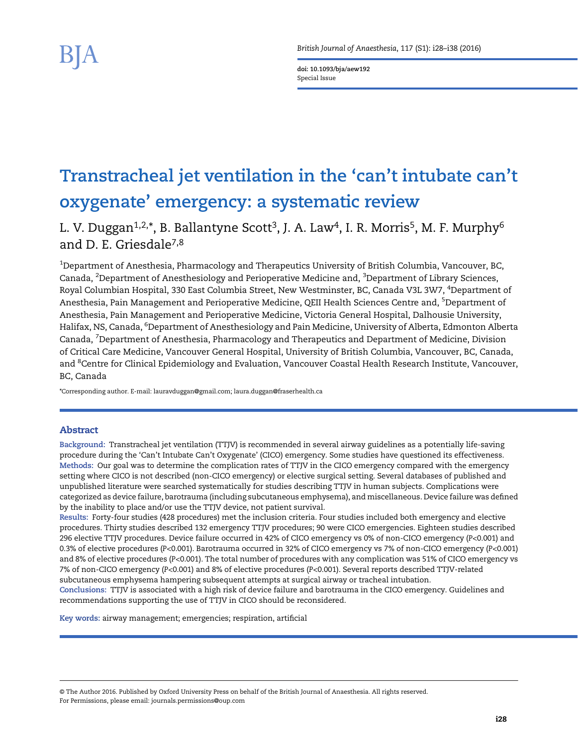doi: 10.1093/bja/aew192 Special Issue

# Transtracheal jet ventilation in the 'can't intubate can't oxygenate' emergency: a systematic review

L. V. Duggan<sup>1,2,\*</sup>, B. Ballantyne Scott<sup>3</sup>, J. A. Law<sup>4</sup>, I. R. Morris<sup>5</sup>, M. F. Murphy<sup>6</sup> and D. E. Griesdale7,8

 $^{\rm 1}$ Department of Anesthesia, Pharmacology and Therapeutics University of British Columbia, Vancouver, BC, Canada, <sup>2</sup>Department of Anesthesiology and Perioperative Medicine and, <sup>3</sup>Department of Library Sciences, Royal Columbian Hospital, 330 East Columbia Street, New Westminster, BC, Canada V3L 3W7, <sup>4</sup>Department of Anesthesia, Pain Management and Perioperative Medicine, QEII Health Sciences Centre and, <sup>5</sup>Department of Anesthesia, Pain Management and Perioperative Medicine, Victoria General Hospital, Dalhousie University, Halifax, NS, Canada, <sup>6</sup>Department of Anesthesiology and Pain Medicine, University of Alberta, Edmonton Alberta Canada, <sup>7</sup>Department of Anesthesia, Pharmacology and Therapeutics and Department of Medicine, Division of Critical Care Medicine, Vancouver General Hospital, University of British Columbia, Vancouver, BC, Canada, and <sup>8</sup>Centre for Clinical Epidemiology and Evaluation, Vancouver Coastal Health Research Institute, Vancouver, BC, Canada

\*Corresponding author. E-mail: lauravduggan@gmail.com; laura.duggan@fraserhealth.ca

# Abstract

Background: Transtracheal jet ventilation (TTJV) is recommended in several airway guidelines as a potentially life-saving procedure during the 'Can't Intubate Can't Oxygenate' (CICO) emergency. Some studies have questioned its effectiveness. Methods: Our goal was to determine the complication rates of TTJV in the CICO emergency compared with the emergency setting where CICO is not described (non-CICO emergency) or elective surgical setting. Several databases of published and unpublished literature were searched systematically for studies describing TTJV in human subjects. Complications were categorized as device failure, barotrauma (including subcutaneous emphysema), and miscellaneous. Device failure was defined by the inability to place and/or use the TTJV device, not patient survival.

Results: Forty-four studies (428 procedures) met the inclusion criteria. Four studies included both emergency and elective procedures. Thirty studies described 132 emergency TTJV procedures; 90 were CICO emergencies. Eighteen studies described 296 elective TTJV procedures. Device failure occurred in 42% of CICO emergency vs 0% of non-CICO emergency (P<0.001) and 0.3% of elective procedures (P<0.001). Barotrauma occurred in 32% of CICO emergency vs 7% of non-CICO emergency (P<0.001) and 8% of elective procedures (P<0.001). The total number of procedures with any complication was 51% of CICO emergency vs 7% of non-CICO emergency (P<0.001) and 8% of elective procedures (P<0.001). Several reports described TTJV-related subcutaneous emphysema hampering subsequent attempts at surgical airway or tracheal intubation. Conclusions: TTJV is associated with a high risk of device failure and barotrauma in the CICO emergency. Guidelines and recommendations supporting the use of TTJV in CICO should be reconsidered.

Key words: airway management; emergencies; respiration, artificial

© The Author 2016. Published by Oxford University Press on behalf of the British Journal of Anaesthesia. All rights reserved. For Permissions, please email: journals.permissions@oup.com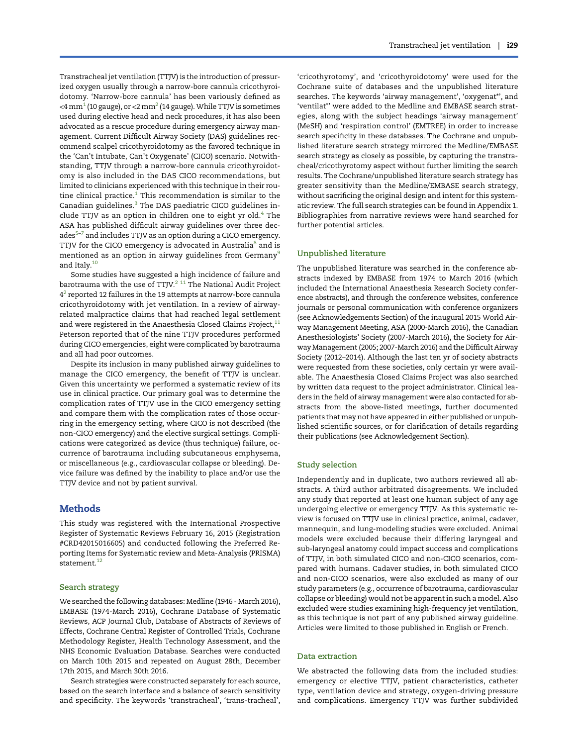Transtracheal jet ventilation (TTJV) is the introduction of pressurized oxygen usually through a narrow-bore cannula cricothyroidotomy. 'Narrow-bore cannula' has been variously defined as  $<$ 4 mm<sup>1</sup> (10 gauge), or  $<$ [2](#page-7-0) mm<sup>2</sup> (14 gauge). While TTJV is sometimes used during elective head and neck procedures, it has also been advocated as a rescue procedure during emergency airway management. Current Difficult Airway Society (DAS) guidelines recommend scalpel cricothyroidotomy as the favored technique in the 'Can't Intubate, Can't Oxygenate' (CICO) scenario. Notwithstanding, TTJV through a narrow-bore cannula cricothyroidotomy is also included in the DAS CICO recommendations, but limited to clinicians experienced with this technique in their routine clinical practice. $1$  This recommendation is similar to the Canadian guidelines.<sup>[3](#page-7-0)</sup> The DAS paediatric CICO guidelines include TTJV as an option in children one to eight yr old. $4$  The ASA has published difficult airway guidelines over three dec- $ades<sup>5-7</sup>$  $ades<sup>5-7</sup>$  $ades<sup>5-7</sup>$  $ades<sup>5-7</sup>$  $ades<sup>5-7</sup>$  and includes TTJV as an option during a CICO emergency. TTJV for the CICO emergency is advocated in Australia<sup>[8](#page-8-0)</sup> and is mentioned as an option in airway guidelines from Germany<sup>[9](#page-8-0)</sup> and Italy.[10](#page-8-0)

Some studies have suggested a high incidence of failure and barotrauma with the use of TTJV. $2$  <sup>11</sup> The National Audit Project  $4<sup>2</sup>$  reported 12 failures in the 19 attempts at narrow-bore cannula cricothyroidotomy with jet ventilation. In a review of airwayrelated malpractice claims that had reached legal settlement and were registered in the Anaesthesia Closed Claims Project, $11$ Peterson reported that of the nine TTJV procedures performed during CICO emergencies, eight were complicated by barotrauma and all had poor outcomes.

Despite its inclusion in many published airway guidelines to manage the CICO emergency, the benefit of TTJV is unclear. Given this uncertainty we performed a systematic review of its use in clinical practice. Our primary goal was to determine the complication rates of TTJV use in the CICO emergency setting and compare them with the complication rates of those occurring in the emergency setting, where CICO is not described (the non-CICO emergency) and the elective surgical settings. Complications were categorized as device (thus technique) failure, occurrence of barotrauma including subcutaneous emphysema, or miscellaneous (e.g., cardiovascular collapse or bleeding). Device failure was defined by the inability to place and/or use the TTJV device and not by patient survival.

## **Methods**

This study was registered with the International Prospective Register of Systematic Reviews February 16, 2015 (Registration #CRD42015016605) and conducted following the Preferred Reporting Items for Systematic review and Meta-Analysis (PRISMA) statement. $12$ 

#### Search strategy

We searched the following databases: Medline (1946 - March 2016), EMBASE (1974-March 2016), Cochrane Database of Systematic Reviews, ACP Journal Club, Database of Abstracts of Reviews of Effects, Cochrane Central Register of Controlled Trials, Cochrane Methodology Register, Health Technology Assessment, and the NHS Economic Evaluation Database. Searches were conducted on March 10th 2015 and repeated on August 28th, December 17th 2015, and March 30th 2016.

Search strategies were constructed separately for each source, based on the search interface and a balance of search sensitivity and specificity. The keywords 'transtracheal', 'trans-tracheal',

'cricothyrotomy', and 'cricothyroidotomy' were used for the Cochrane suite of databases and the unpublished literature searches. The keywords 'airway management', 'oxygenat\*', and 'ventilat\*' were added to the Medline and EMBASE search strategies, along with the subject headings 'airway management' (MeSH) and 'respiration control' (EMTREE) in order to increase search specificity in these databases. The Cochrane and unpublished literature search strategy mirrored the Medline/EMBASE search strategy as closely as possible, by capturing the transtracheal/cricothyrotomy aspect without further limiting the search results. The Cochrane/unpublished literature search strategy has greater sensitivity than the Medline/EMBASE search strategy, without sacrificing the original design and intent for this systematic review. The full search strategies can be found in Appendix 1. Bibliographies from narrative reviews were hand searched for further potential articles.

#### Unpublished literature

The unpublished literature was searched in the conference abstracts indexed by EMBASE from 1974 to March 2016 (which included the International Anaesthesia Research Society conference abstracts), and through the conference websites, conference journals or personal communication with conference organizers (see Acknowledgements Section) of the inaugural 2015 World Airway Management Meeting, ASA (2000-March 2016), the Canadian Anesthesiologists' Society (2007-March 2016), the Society for Airway Management (2005; 2007-March 2016) and the Difficult Airway Society (2012–2014). Although the last ten yr of society abstracts were requested from these societies, only certain yr were available. The Anaesthesia Closed Claims Project was also searched by written data request to the project administrator. Clinical leaders in the field of airway management were also contacted for abstracts from the above-listed meetings, further documented patients that may not have appeared in either published or unpublished scientific sources, or for clarification of details regarding their publications (see Acknowledgement Section).

#### Study selection

Independently and in duplicate, two authors reviewed all abstracts. A third author arbitrated disagreements. We included any study that reported at least one human subject of any age undergoing elective or emergency TTJV. As this systematic review is focused on TTJV use in clinical practice, animal, cadaver, mannequin, and lung-modeling studies were excluded. Animal models were excluded because their differing laryngeal and sub-laryngeal anatomy could impact success and complications of TTJV, in both simulated CICO and non-CICO scenarios, compared with humans. Cadaver studies, in both simulated CICO and non-CICO scenarios, were also excluded as many of our study parameters (e.g., occurrence of barotrauma, cardiovascular collapse or bleeding) would not be apparent in such a model. Also excluded were studies examining high-frequency jet ventilation, as this technique is not part of any published airway guideline. Articles were limited to those published in English or French.

#### Data extraction

We abstracted the following data from the included studies: emergency or elective TTJV, patient characteristics, catheter type, ventilation device and strategy, oxygen-driving pressure and complications. Emergency TTJV was further subdivided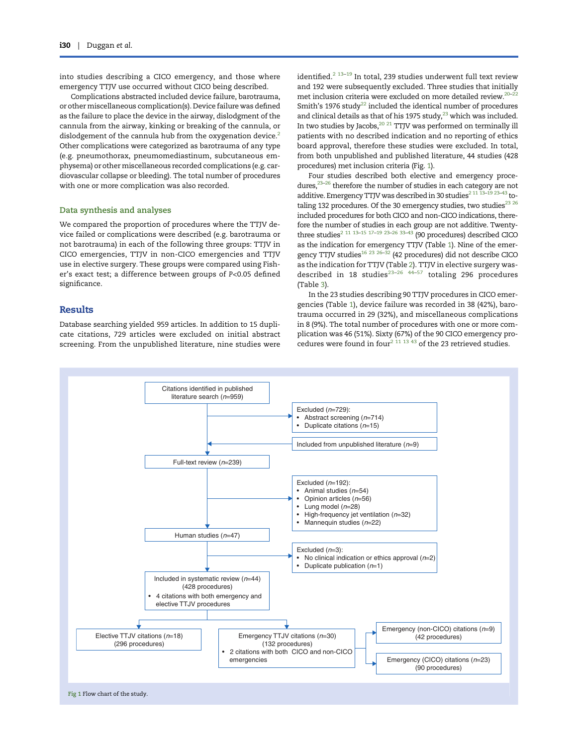into studies describing a CICO emergency, and those where emergency TTJV use occurred without CICO being described.

Complications abstracted included device failure, barotrauma, or other miscellaneous complication(s). Device failure was defined as the failure to place the device in the airway, dislodgment of the cannula from the airway, kinking or breaking of the cannula, or dislodgement of the cannula hub from the oxygenation device.<sup>2</sup> Other complications were categorized as barotrauma of any type (e.g. pneumothorax, pneumomediastinum, subcutaneous emphysema) or other miscellaneous recorded complications (e.g. cardiovascular collapse or bleeding). The total number of procedures with one or more complication was also recorded.

#### Data synthesis and analyses

We compared the proportion of procedures where the TTJV device failed or complications were described (e.g. barotrauma or not barotrauma) in each of the following three groups: TTJV in CICO emergencies, TTJV in non-CICO emergencies and TTJV use in elective surgery. These groups were compared using Fisher's exact test; a difference between groups of P<0.05 defined significance.

## Results

Database searching yielded 959 articles. In addition to 15 duplicate citations, 729 articles were excluded on initial abstract screening. From the unpublished literature, nine studies were

identified.<sup>[2](#page-7-0) [13](#page-8-0)-[19](#page-8-0)</sup> In total, 239 studies underwent full text review and 192 were subsequently excluded. Three studies that initially met inclusion criteria were excluded on more detailed review.[20](#page-8-0)–[22](#page-8-0) Smith's 1976 study<sup>22</sup> included the identical number of procedures and clinical details as that of his 1975 study, $^{23}$  which was included. In two studies by Jacobs,  $^{20}$   $^{21}$  TTJV was performed on terminally ill patients with no described indication and no reporting of ethics board approval, therefore these studies were excluded. In total, from both unpublished and published literature, 44 studies (428 procedures) met inclusion criteria (Fig. 1).

Four studies described both elective and emergency procedures, $23-26$  $23-26$  therefore the number of studies in each category are not additive. Emergency TTJV was described in 30 studies<sup>[2](#page-7-0) [11 13](#page-8-0)-19</sup> 23-[43](#page-8-0) totaling 132 procedures. Of the 30 emergency studies, two studies $^{23}$   $^{26}$ included procedures for both CICO and non-CICO indications, therefore the number of studies in each group are not additive. Twenty-three studies<sup>[2](#page-7-0) [11 13](#page-8-0)–[15 17](#page-8-0)–[19 23](#page-8-0)–[26 33](#page-8-0)–[43](#page-8-0)</sup> (90 procedures) described CICO as the indication for emergency TTJV (Table [1\)](#page-3-0). Nine of the emer-gency TTJV studies<sup>16 23 26–[32](#page-8-0)</sup> (42 procedures) did not describe CICO as the indication for TTJV (Table [2\)](#page-5-0). TTJV in elective surgery was-described in 18 studies<sup>[23](#page-8-0)–26</sup>  $44-57$  $44-57$  totaling 296 procedures (Table [3](#page-6-0)).

In the 23 studies describing 90 TTJV procedures in CICO emergencies (Table [1\)](#page-3-0), device failure was recorded in 38 (42%), barotrauma occurred in 29 (32%), and miscellaneous complications in 8 (9%). The total number of procedures with one or more complication was 46 (51%). Sixty (67%) of the 90 CICO emergency pro-cedures were found in four<sup>[2](#page-7-0) [11 13 43](#page-8-0)</sup> of the 23 retrieved studies.

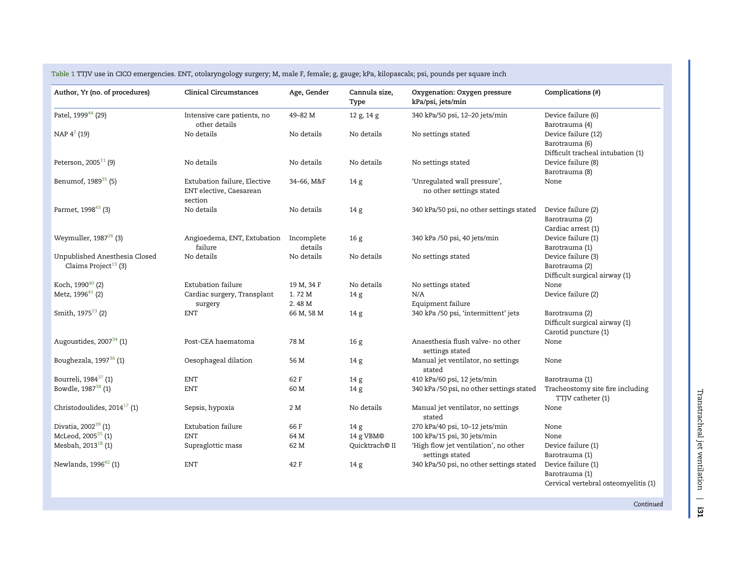| Author, Yr (no. of procedures)                                    | <b>Clinical Circumstances</b>                                      | Age, Gender           | Cannula size,<br>Type      | Oxygenation: Oxygen pressure<br>kPa/psi, jets/min        | Complications (#)                                                            |
|-------------------------------------------------------------------|--------------------------------------------------------------------|-----------------------|----------------------------|----------------------------------------------------------|------------------------------------------------------------------------------|
| Patel, 1999 <sup>44</sup> (29)                                    | Intensive care patients, no<br>other details                       | 49-82 M               | 12 g, 14 g                 | 340 kPa/50 psi, 12-20 jets/min                           | Device failure (6)<br>Barotrauma (4)                                         |
| NAP 4 <sup>2</sup> (19)                                           | No details                                                         | No details            | No details                 | No settings stated                                       | Device failure (12)<br>Barotrauma (6)<br>Difficult tracheal intubation (1)   |
| Peterson, 2005 <sup>11</sup> (9)                                  | No details                                                         | No details            | No details                 | No settings stated                                       | Device failure (8)<br>Barotrauma (8)                                         |
| Benumof, 1989 <sup>35</sup> (5)                                   | Extubation failure, Elective<br>ENT elective, Caesarean<br>section | 34-66, M&F            | 14 g                       | 'Unregulated wall pressure',<br>no other settings stated | None                                                                         |
| Parmet, 1998 <sup>43</sup> (3)                                    | No details                                                         | No details            | 14 <sub>g</sub>            | 340 kPa/50 psi, no other settings stated                 | Device failure (2)<br>Barotrauma (2)<br>Cardiac arrest (1)                   |
| Weymuller, 1987 <sup>26</sup> (3)                                 | Angioedema, ENT, Extubation<br>failure                             | Incomplete<br>details | 16 <sub>g</sub>            | 340 kPa /50 psi, 40 jets/min                             | Device failure (1)<br>Barotrauma (1)                                         |
| Unpublished Anesthesia Closed<br>Claims Project <sup>13</sup> (3) | No details                                                         | No details            | No details                 | No settings stated                                       | Device failure (3)<br>Barotrauma (2)<br>Difficult surgical airway (1)        |
| Koch, 1990 <sup>40</sup> (2)                                      | Extubation failure                                                 | 19 M, 34 F            | No details                 | No settings stated                                       | None                                                                         |
| Metz, 1996 <sup>41</sup> (2)                                      | Cardiac surgery, Transplant                                        | 1.72 M                | 14 <sub>g</sub>            | N/A                                                      | Device failure (2)                                                           |
|                                                                   | surgery                                                            | 2.48 M                |                            | Equipment failure                                        |                                                                              |
| Smith, 1975 <sup>23</sup> (2)                                     | ${\rm ENT}$                                                        | 66 M, 58 M            | 14 g                       | 340 kPa /50 psi, 'intermittent' jets                     | Barotrauma (2)<br>Difficult surgical airway (1)<br>Carotid puncture (1)      |
| Augoustides, 2007 <sup>34</sup> (1)                               | Post-CEA haematoma                                                 | 78 M                  | 16 <sub>g</sub>            | Anaesthesia flush valve- no other<br>settings stated     | None                                                                         |
| Boughezala, 1997 <sup>36</sup> (1)                                | Oesophageal dilation                                               | 56 M                  | 14 g                       | Manual jet ventilator, no settings<br>stated             | None                                                                         |
| Bourreli, 1984 <sup>37</sup> (1)                                  | <b>ENT</b>                                                         | 62 F                  | 14 <sub>g</sub>            | 410 kPa/60 psi, 12 jets/min                              | Barotrauma (1)                                                               |
| Bowdle, 1987 <sup>38</sup> (1)                                    | ENT                                                                | 60 M                  | 14 <sub>g</sub>            | 340 kPa /50 psi, no other settings stated                | Tracheostomy site fire including<br>TTJV catheter (1)                        |
| Christodoulides, $2014^{17}$ (1)                                  | Sepsis, hypoxia                                                    | 2 M                   | No details                 | Manual jet ventilator, no settings<br>stated             | None                                                                         |
| Divatia, $2002^{39}$ (1)                                          | Extubation failure                                                 | 66 F                  | 14 <sub>g</sub>            | 270 kPa/40 psi, 10-12 jets/min                           | None                                                                         |
| McLeod, 2005 <sup>25</sup> (1)                                    | <b>ENT</b>                                                         | 64 M                  | 14 g VBM©                  | 100 kPa/15 psi, 30 jets/min                              | None                                                                         |
| Mesbah, 2013 <sup>18</sup> (1)                                    | Supraglottic mass                                                  | 62 M                  | Quicktrach <sup>®</sup> II | 'High flow jet ventilation', no other<br>settings stated | Device failure (1)<br>Barotrauma (1)                                         |
| Newlands, 1996 <sup>42</sup> (1)                                  | <b>ENT</b>                                                         | 42 F                  | 14 <sub>g</sub>            | 340 kPa/50 psi, no other settings stated                 | Device failure (1)<br>Barotrauma (1)<br>Cervical vertebral osteomyelitis (1) |

<span id="page-3-0"></span>Table 1 TTJV use in CICO emergencies. ENT, otolaryngology surgery; M, male F, female; g, gauge; kPa, kilopascals; psi, pounds per square inch

Continued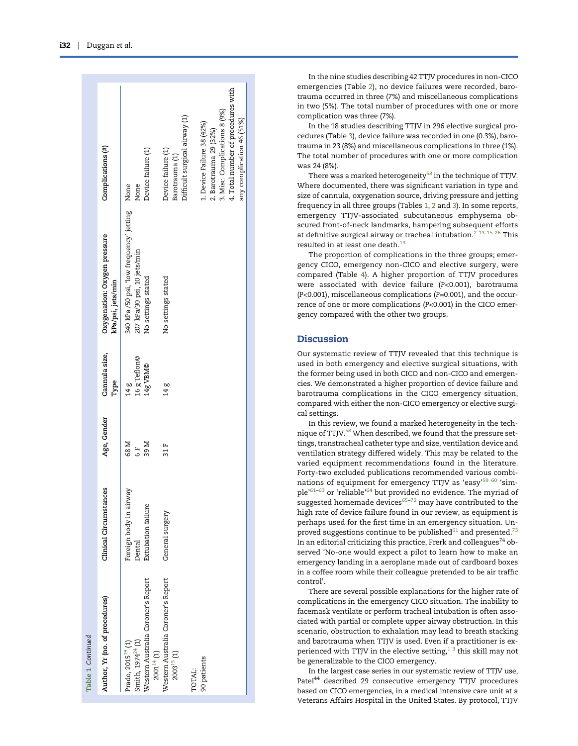Falls 1 Captures

| Table 1 Continued                                                                                                       |                                                        |                        |                                  |                                                                                                   |                                                                                                                                                          |
|-------------------------------------------------------------------------------------------------------------------------|--------------------------------------------------------|------------------------|----------------------------------|---------------------------------------------------------------------------------------------------|----------------------------------------------------------------------------------------------------------------------------------------------------------|
| Author, Yr (no. of procedures)                                                                                          | Clinical Circumstances                                 | Age, Gender            | Cannula size,<br>Type            | Oxygenation: Oxygen pressure<br>kPa/psi, jets/min                                                 | Complications (#)                                                                                                                                        |
| Western Australia Coroner's Report<br>Smith, 1974 <sup>24</sup> (1)<br>Prado, 2015 <sup>19</sup> (1)<br>$2001^{14}$ (1) | Foreign body in airway<br>Extubation failure<br>Dental | 68 M<br>39 M<br>ե<br>6 | 16 g Teflon©<br>14g VBM©<br>14 g | 340 kPa/50 psi, 'low frequency' jetting None<br>207 kPa/30 psi, 10 jets/min<br>No settings stated | Device failure (1)<br>None                                                                                                                               |
| Western Australia Coroner's Report<br>$2003^{15}$ (1)                                                                   | General surgery                                        | 31 F                   | 14 g                             | No settings stated                                                                                | Difficult surgical airway (1)<br>Device failure (1)<br>Barotrauma (1)                                                                                    |
| 90 patients<br>TOTAL:                                                                                                   |                                                        |                        |                                  |                                                                                                   | 4. Total number of procedures with<br>3. Misc. Complications 8 (9%)<br>any complication 46 (51%)<br>1. Device Failure 38 (42%)<br>2. Barotrauma 29 (32%) |
|                                                                                                                         |                                                        |                        |                                  |                                                                                                   |                                                                                                                                                          |

In the nine studies describing 42 TTJV procedures in non-CICO emergencies (Table [2\)](#page-5-0), no device failures were recorded, barotrauma occurred in three (7%) and miscellaneous complications in two (5%). The total number of procedures with one or more complication was three (7%).

In the 18 studies describing TTJV in 296 elective surgical procedures (Table [3\)](#page-6-0), device failure was recorded in one (0.3%), barotrauma in 23 (8%) and miscellaneous complications in three (1%). The total number of procedures with one or more complication was 24 (8%).

There was a marked heterogeneity<sup>[58](#page-9-0)</sup> in the technique of TTJV. Where documented, there was signi ficant variation in type and size of cannula, oxygenation source, driving pressure and jetting frequency in all three groups (Tables [1](#page-3-0) , [2](#page-5-0) and [3\)](#page-6-0). In some reports, emergency TTJV-associated subcutaneous emphysema obscured front-of-neck landmarks, hampering subsequent efforts at definitive surgical airway or tracheal intubation.<sup>[2](#page-7-0) [13 15 26](#page-8-0)</sup> This resulted in at least one death. $^{13}$  $^{13}$  $^{13}$ 

The proportion of complications in the three groups; emergency CICO, emergency non-CICO and elective surgery, were compared (Table [4\)](#page-6-0). A higher proportion of TTJV procedures were associated with device failure ( P<0.001), barotrauma ( P<0.001), miscellaneous complications ( P=0.001), and the occurrence of one or more complications (P<0.001) in the CICO emergency compared with the other two groups.

## **Discussion**

Our systematic review of TTJV revealed that this technique is used in both emergency and elective surgical situations, with the former being used in both CICO and non-CICO and emergencies. We demonstrated a higher proportion of device failure and barotrauma complications in the CICO emergency situation, compared with either the non-CICO emergency or elective surgical settings.

In this review, we found a marked heterogeneity in the tech-nique of TTJV.<sup>[58](#page-9-0)</sup> When described, we found that the pressure settings, transtracheal catheter type and size, ventilation device and ventilation strategy differed widely. This may be related to the varied equipment recommendations found in the literature. Forty-two excluded publications recommended various combi-nations of equipment for emergency TTJV as 'easy'<sup>[59 60](#page-9-0)</sup> 'sim-ple'<sup>[61](#page-9-0)–[63](#page-9-0)</sup> or 'reliable'<sup>[64](#page-9-0)</sup> but provided no evidence. The myriad of suggested homemade devices $65-72$  $65-72$  $65-72$  may have contributed to the high rate of device failure found in our review, as equipment is perhaps used for the first time in an emergency situation. Unproved suggestions continue to be published $61$  and presented.<sup>[73](#page-9-0)</sup> In an editorial criticizing this practice, Frerk and colleagues<sup>74</sup> observed 'No-one would expect a pilot to learn how to make an emergency landing in a aeroplane made out of cardboard boxes in a coffee room while their colleague pretended to be air traffi c control ' .

There are several possible explanations for the higher rate of complications in the emergency CICO situation. The inability to facemask ventilate or perform tracheal intubation is often associated with partial or complete upper airway obstruction. In this scenario, obstruction to exhalation may lead to breath stacking and barotrauma when TTJV is used. Even if a practitioner is experienced with TTJV in the elective setting, $1<sup>3</sup>$  this skill may not be generalizable to the CICO emergency.

In the largest case series in our systematic review of TTJV use, Patel<sup>44</sup> described 29 consecutive emergency TTJV procedures based on CICO emergencies, in a medical intensive care unit at a Veterans Affairs Hospital in the United States. By protocol, TTJV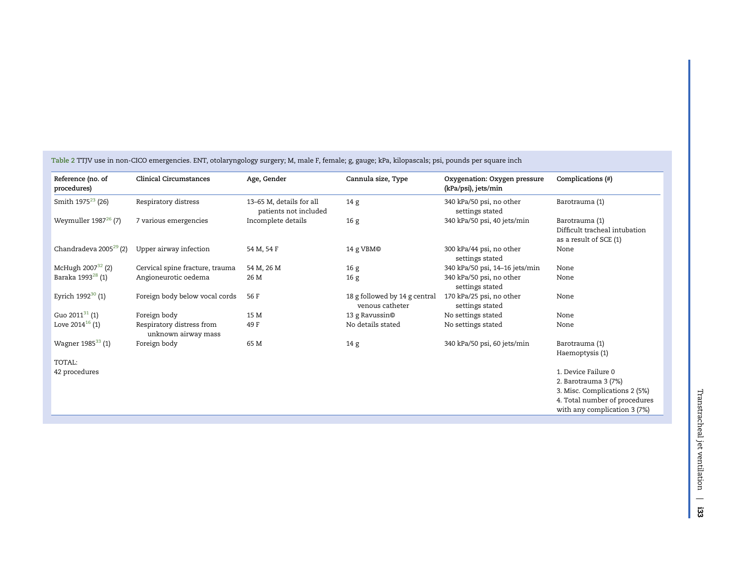| Reference (no. of<br>procedures)   | <b>Clinical Circumstances</b>                    | Age, Gender                                       | Cannula size, Type                               | Oxygenation: Oxygen pressure<br>(kPa/psi), jets/min | Complications (#)                                                         |
|------------------------------------|--------------------------------------------------|---------------------------------------------------|--------------------------------------------------|-----------------------------------------------------|---------------------------------------------------------------------------|
| Smith 1975 <sup>23</sup> (26)      | Respiratory distress                             | 13-65 M, details for all<br>patients not included | 14 <sub>g</sub>                                  | 340 kPa/50 psi, no other<br>settings stated         | Barotrauma (1)                                                            |
| Weymuller $1987^{26}$ (7)          | 7 various emergencies                            | Incomplete details                                | 16g                                              | 340 kPa/50 psi, 40 jets/min                         | Barotrauma (1)<br>Difficult tracheal intubation<br>as a result of SCE (1) |
| Chandradeva 2005 <sup>29</sup> (2) | Upper airway infection                           | 54 M, 54 F                                        | 14 g VBM©                                        | 300 kPa/44 psi, no other<br>settings stated         | None                                                                      |
| McHugh $2007^{32}$ (2)             | Cervical spine fracture, trauma                  | 54 M, 26 M                                        | 16g                                              | 340 kPa/50 psi, 14-16 jets/min                      | None                                                                      |
| Baraka 1993 <sup>28</sup> (1)      | Angioneurotic oedema                             | 26 M                                              | 16g                                              | 340 kPa/50 psi, no other<br>settings stated         | None                                                                      |
| Eyrich $1992^{30}$ (1)             | Foreign body below vocal cords                   | 56 F                                              | 18 g followed by 14 g central<br>venous catheter | 170 kPa/25 psi, no other<br>settings stated         | None                                                                      |
| Guo 2011 $31$ (1)                  | Foreign body                                     | 15 M                                              | 13 g Ravussin©                                   | No settings stated                                  | None                                                                      |
| Love $2014^{16}$ (1)               | Respiratory distress from<br>unknown airway mass | 49 F                                              | No details stated                                | No settings stated                                  | None                                                                      |
| Wagner 1985 <sup>33</sup> (1)      | Foreign body                                     | 65 M                                              | 14 g                                             | 340 kPa/50 psi, 60 jets/min                         | Barotrauma (1)                                                            |
| TOTAL:                             |                                                  |                                                   |                                                  |                                                     | Haemoptysis (1)                                                           |
| 42 procedures                      |                                                  |                                                   |                                                  |                                                     | 1. Device Failure 0                                                       |
|                                    |                                                  |                                                   |                                                  |                                                     | 2. Barotrauma 3 (7%)                                                      |
|                                    |                                                  |                                                   |                                                  |                                                     | 3. Misc. Complications 2 (5%)                                             |
|                                    |                                                  |                                                   |                                                  |                                                     | 4. Total number of procedures                                             |
|                                    |                                                  |                                                   |                                                  |                                                     | with any complication 3 (7%)                                              |

<span id="page-5-0"></span>Table 2 TTJV use in non-CICO emergencies. ENT, otolaryngology surgery; M, male F, female; g, gauge; kPa, kilopascals; psi, pounds per square inch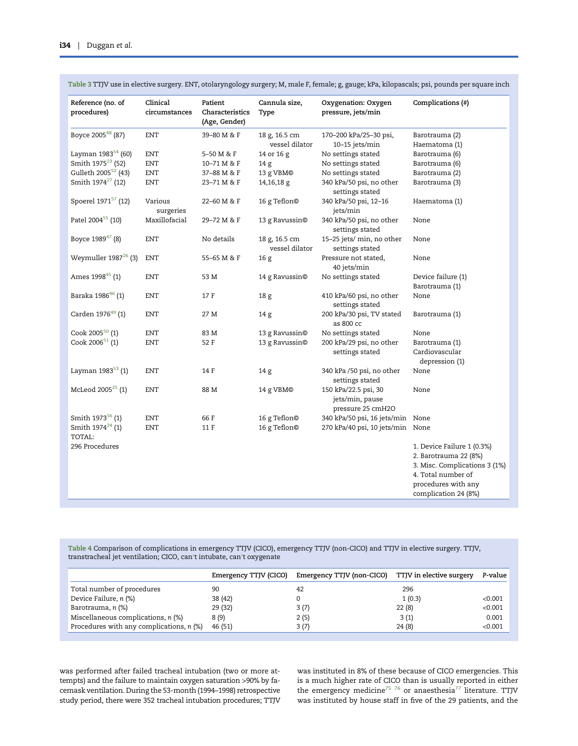| Boyce 200548 (87)<br><b>ENT</b><br>39-80 M & F<br>18 g, 16.5 cm<br>170-200 kPa/25-30 psi,<br>Barotrauma (2)<br>vessel dilator<br>10-15 jets/min<br>Haematoma (1)<br>Layman 1983 <sup>54</sup> (60)<br><b>ENT</b><br>5-50 M & F<br>14 or 16 g<br>No settings stated<br>Barotrauma (6)<br>Smith 1975 <sup>23</sup> (52)<br><b>ENT</b><br>10-71 M & F<br>No settings stated<br>14 <sub>g</sub><br>Barotrauma (6)<br>Gulleth 2005 <sup>52</sup> (43)<br>13 g VBM©<br>No settings stated<br><b>ENT</b><br>37-88 M & F<br>Barotrauma (2)<br>Smith 1974 <sup>27</sup> (12)<br><b>ENT</b><br>14,16,18 g<br>340 kPa/50 psi, no other<br>Barotrauma (3)<br>23-71 M & F<br>settings stated |
|---------------------------------------------------------------------------------------------------------------------------------------------------------------------------------------------------------------------------------------------------------------------------------------------------------------------------------------------------------------------------------------------------------------------------------------------------------------------------------------------------------------------------------------------------------------------------------------------------------------------------------------------------------------------------------|
|                                                                                                                                                                                                                                                                                                                                                                                                                                                                                                                                                                                                                                                                                 |
|                                                                                                                                                                                                                                                                                                                                                                                                                                                                                                                                                                                                                                                                                 |
|                                                                                                                                                                                                                                                                                                                                                                                                                                                                                                                                                                                                                                                                                 |
|                                                                                                                                                                                                                                                                                                                                                                                                                                                                                                                                                                                                                                                                                 |
|                                                                                                                                                                                                                                                                                                                                                                                                                                                                                                                                                                                                                                                                                 |
|                                                                                                                                                                                                                                                                                                                                                                                                                                                                                                                                                                                                                                                                                 |
| Spoerel 1971 <sup>57</sup> (12)<br>Various<br>22-60 M & F<br>16 g Teflon©<br>340 kPa/50 psi, 12-16<br>Haematoma (1)<br>surgeries<br>jets/min                                                                                                                                                                                                                                                                                                                                                                                                                                                                                                                                    |
| Patel 2004 <sup>55</sup> (10)<br>Maxillofacial<br>13 g Ravussin©<br>340 kPa/50 psi, no other<br>29-72 M & F<br>None<br>settings stated                                                                                                                                                                                                                                                                                                                                                                                                                                                                                                                                          |
| Boyce 1989 <sup>47</sup> (8)<br><b>ENT</b><br>No details<br>15-25 jets/ min, no other<br>18 g, 16.5 cm<br>None<br>vessel dilator<br>settings stated                                                                                                                                                                                                                                                                                                                                                                                                                                                                                                                             |
| Weymuller $1987^{26}$ (3)<br><b>ENT</b><br>55-65 M & F<br>16 <sub>g</sub><br>Pressure not stated,<br>None<br>40 jets/min                                                                                                                                                                                                                                                                                                                                                                                                                                                                                                                                                        |
| Ames 1998 <sup>45</sup> (1)<br><b>ENT</b><br>53 M<br>14 g Ravussin©<br>No settings stated<br>Device failure (1)                                                                                                                                                                                                                                                                                                                                                                                                                                                                                                                                                                 |
| Barotrauma (1)                                                                                                                                                                                                                                                                                                                                                                                                                                                                                                                                                                                                                                                                  |
| Baraka 1986 <sup>46</sup> (1)<br><b>ENT</b><br>17 F<br>410 kPa/60 psi, no other<br>None<br>18 <sub>g</sub><br>settings stated                                                                                                                                                                                                                                                                                                                                                                                                                                                                                                                                                   |
| Carden 1976 <sup>49</sup> (1)<br><b>ENT</b><br>27 M<br>14 <sub>g</sub><br>200 kPa/30 psi, TV stated<br>Barotrauma (1)<br>as 800 cc                                                                                                                                                                                                                                                                                                                                                                                                                                                                                                                                              |
| Cook 2005 <sup>50</sup> (1)<br><b>ENT</b><br>83 M<br>13 g Ravussin©<br>No settings stated<br>None                                                                                                                                                                                                                                                                                                                                                                                                                                                                                                                                                                               |
| Cook 2006 $51$ (1)<br><b>ENT</b><br>52 F<br>13 g Ravussin©<br>200 kPa/29 psi, no other<br>Barotrauma (1)                                                                                                                                                                                                                                                                                                                                                                                                                                                                                                                                                                        |
| settings stated<br>Cardiovascular<br>depression (1)                                                                                                                                                                                                                                                                                                                                                                                                                                                                                                                                                                                                                             |
| Layman 1983 <sup>53</sup> (1)<br><b>ENT</b><br>14 F<br>14 <sub>g</sub><br>340 kPa /50 psi, no other<br>None<br>settings stated                                                                                                                                                                                                                                                                                                                                                                                                                                                                                                                                                  |
| McLeod $2005^{25}$ (1)<br><b>ENT</b><br>88 M<br>14 g VBM©<br>150 kPa/22.5 psi, 30<br>None<br>jets/min, pause<br>pressure 25 cmH2O                                                                                                                                                                                                                                                                                                                                                                                                                                                                                                                                               |
| Smith 1973 <sup>56</sup> (1)<br><b>ENT</b><br>66 F<br>16 g Teflon©<br>340 kPa/50 psi, 16 jets/min None                                                                                                                                                                                                                                                                                                                                                                                                                                                                                                                                                                          |
| Smith $1974^{24}$ (1)<br>16 g Teflon©<br><b>ENT</b><br>11 F<br>270 kPa/40 psi, 10 jets/min None                                                                                                                                                                                                                                                                                                                                                                                                                                                                                                                                                                                 |
| TOTAL:                                                                                                                                                                                                                                                                                                                                                                                                                                                                                                                                                                                                                                                                          |
| 296 Procedures<br>1. Device Failure 1 (0.3%)                                                                                                                                                                                                                                                                                                                                                                                                                                                                                                                                                                                                                                    |
| 2. Barotrauma 22 (8%)                                                                                                                                                                                                                                                                                                                                                                                                                                                                                                                                                                                                                                                           |
| 3. Misc. Complications 3 (1%)                                                                                                                                                                                                                                                                                                                                                                                                                                                                                                                                                                                                                                                   |
| 4. Total number of                                                                                                                                                                                                                                                                                                                                                                                                                                                                                                                                                                                                                                                              |
| procedures with any                                                                                                                                                                                                                                                                                                                                                                                                                                                                                                                                                                                                                                                             |
| complication 24 (8%)                                                                                                                                                                                                                                                                                                                                                                                                                                                                                                                                                                                                                                                            |

<span id="page-6-0"></span>Table 3 TTJV use in elective surgery. ENT, otolaryngology surgery; M, male F, female; g, gauge; kPa, kilopascals; psi, pounds per square inch

Table 4 Comparison of complications in emergency TTJV (CICO), emergency TTJV (non-CICO) and TTJV in elective surgery. TTJV, transtracheal jet ventilation; CICO, can′t intubate, can′t oxygenate

|                                          | Emergency TTJV (CICO) | Emergency TTJV (non-CICO) | TTJV in elective surgery | P-value |
|------------------------------------------|-----------------------|---------------------------|--------------------------|---------|
| Total number of procedures               | 90                    | 42                        | 296                      |         |
| Device Failure, n (%)                    | 38 (42)               |                           | 1(0.3)                   | < 0.001 |
| Barotrauma, n (%)                        | 29 (32)               | 3 (7)                     | 22(8)                    | < 0.001 |
| Miscellaneous complications, n (%)       | 8 (9)                 | 2 (5)                     | 3(1)                     | 0.001   |
| Procedures with any complications, n (%) | 46 (51)               | 3 (7)                     | 24(8)                    | < 0.001 |

was performed after failed tracheal intubation (two or more attempts) and the failure to maintain oxygen saturation >90% by facemask ventilation. During the 53-month (1994–1998) retrospective study period, there were 352 tracheal intubation procedures; TTJV was instituted in 8% of these because of CICO emergencies. This is a much higher rate of CICO than is usually reported in either the emergency medicine<sup>75 76</sup> or anaesthesia<sup>[77](#page-9-0)</sup> literature. TTJV was instituted by house staff in five of the 29 patients, and the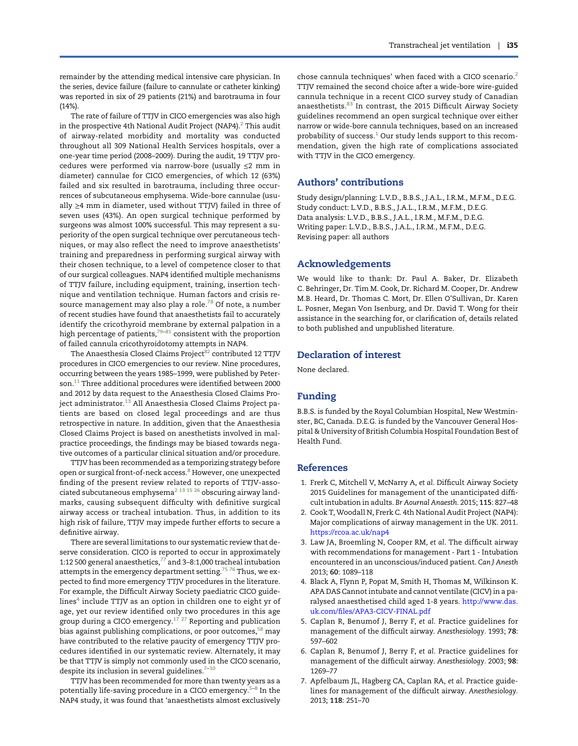<span id="page-7-0"></span>remainder by the attending medical intensive care physician. In the series, device failure (failure to cannulate or catheter kinking) was reported in six of 29 patients (21%) and barotrauma in four (14%).

The rate of failure of TTJV in CICO emergencies was also high in the prospective 4th National Audit Project (NAP4). $^2$  This audit of airway-related morbidity and mortality was conducted throughout all 309 National Health Services hospitals, over a one-year time period (2008–2009). During the audit, 19 TTJV procedures were performed via narrow-bore (usually ≤2 mm in diameter) cannulae for CICO emergencies, of which 12 (63%) failed and six resulted in barotrauma, including three occurrences of subcutaneous emphysema. Wide-bore cannulae (usually ≥4 mm in diameter, used without TTJV) failed in three of seven uses (43%). An open surgical technique performed by surgeons was almost 100% successful. This may represent a superiority of the open surgical technique over percutaneous techniques, or may also reflect the need to improve anaesthetists' training and preparedness in performing surgical airway with their chosen technique, to a level of competence closer to that of our surgical colleagues. NAP4 identified multiple mechanisms of TTJV failure, including equipment, training, insertion technique and ventilation technique. Human factors and crisis re-source management may also play a role.<sup>[78](#page-9-0)</sup> Of note, a number of recent studies have found that anaesthetists fail to accurately identify the cricothyroid membrane by external palpation in a high percentage of patients, $79-81$  $79-81$  $79-81$  consistent with the proportion of failed cannula cricothyroidotomy attempts in NAP4.

The Anaesthesia Closed Claims Project<sup>[82](#page-9-0)</sup> contributed 12 TTJV procedures in CICO emergencies to our review. Nine procedures, occurring between the years 1985–1999, were published by Peter-son.<sup>[11](#page-8-0)</sup> Three additional procedures were identified between 2000 and 2012 by data request to the Anaesthesia Closed Claims Pro-ject administrator.<sup>[13](#page-8-0)</sup> All Anaesthesia Closed Claims Project patients are based on closed legal proceedings and are thus retrospective in nature. In addition, given that the Anaesthesia Closed Claims Project is based on anesthetists involved in malpractice proceedings, the findings may be biased towards negative outcomes of a particular clinical situation and/or procedure.

TTJV has been recommended as a temporizing strategy before open or surgical front-of-neck access.<sup>[8](#page-8-0)</sup> However, one unexpected finding of the present review related to reports of TTJV-asso-ciated subcutaneous emphysema<sup>2 [13 15 26](#page-8-0)</sup> obscuring airway landmarks, causing subsequent difficulty with definitive surgical airway access or tracheal intubation. Thus, in addition to its high risk of failure, TTJV may impede further efforts to secure a definitive airway.

There are several limitations to our systematic review that deserve consideration. CICO is reported to occur in approximately 1:12 500 general anaesthetics, $77$  and 3-8:1,000 tracheal intubation attempts in the emergency department setting.<sup>75</sup> 7<sup>6</sup> Thus, we expected to find more emergency TTJV procedures in the literature. For example, the Difficult Airway Society paediatric CICO guidelines<sup>4</sup> include TTJV as an option in children one to eight yr of age, yet our review identified only two procedures in this age group during a CICO emergency.<sup>[17 27](#page-8-0)</sup> Reporting and publication bias against publishing complications, or poor outcomes,<sup>[58](#page-9-0)</sup> may have contributed to the relative paucity of emergency TTJV procedures identified in our systematic review. Alternately, it may be that TTJV is simply not commonly used in the CICO scenario, despite its inclusion in several guidelines. $7-10$  $7-10$ 

TTJV has been recommended for more than twenty years as a potentially life-saving procedure in a CICO emergency.5–[8](#page-8-0) In the NAP4 study, it was found that 'anaesthetists almost exclusively chose cannula techniques' when faced with a CICO scenario.<sup>2</sup> TTJV remained the second choice after a wide-bore wire-guided cannula technique in a recent CICO survey study of Canadian anaesthetists.<sup>[83](#page-9-0)</sup> In contrast, the 2015 Difficult Airway Society guidelines recommend an open surgical technique over either narrow or wide-bore cannula techniques, based on an increased probability of success. $1$  Our study lends support to this recommendation, given the high rate of complications associated with TTJV in the CICO emergency.

## Authors' contributions

Study design/planning: L.V.D., B.B.S., J.A.L., I.R.M., M.F.M., D.E.G. Study conduct: L.V.D., B.B.S., J.A.L., I.R.M., M.F.M., D.E.G. Data analysis: L.V.D., B.B.S., J.A.L., I.R.M., M.F.M., D.E.G. Writing paper: L.V.D., B.B.S., J.A.L., I.R.M., M.F.M., D.E.G. Revising paper: all authors

## Acknowledgements

We would like to thank: Dr. Paul A. Baker, Dr. Elizabeth C. Behringer, Dr. Tim M. Cook, Dr. Richard M. Cooper, Dr. Andrew M.B. Heard, Dr. Thomas C. Mort, Dr. Ellen O'Sullivan, Dr. Karen L. Posner, Megan Von Isenburg, and Dr. David T. Wong for their assistance in the searching for, or clarification of, details related to both published and unpublished literature.

## Declaration of interest

None declared.

# Funding

B.B.S. is funded by the Royal Columbian Hospital, New Westminster, BC, Canada. D.E.G. is funded by the Vancouver General Hospital & University of British Columbia Hospital Foundation Best of Health Fund.

#### References

- 1. Frerk C, Mitchell V, McNarry A, et al. Difficult Airway Society 2015 Guidelines for management of the unanticipated difficult intubation in adults. Br Aournal Anaesth. 2015; 115: 827–48
- 2. Cook T, Woodall N, Frerk C. 4th National Audit Project (NAP4): Major complications of airway management in the UK. 2011. <https://rcoa.ac.uk/nap4>
- 3. Law JA, Broemling N, Cooper RM, et al. The difficult airway with recommendations for management - Part 1 - Intubation encountered in an unconscious/induced patient. Can J Anesth 2013; 60: 1089–118
- 4. Black A, Flynn P, Popat M, Smith H, Thomas M, Wilkinson K. APA DAS Cannot intubate and cannot ventilate (CICV) in a paralysed anaesthetised child aged 1-8 years. [http://www.das.](http://www.das.uk.com/files/APA3-CICV-FINAL.pdf) [uk](http://www.das.uk.com/files/APA3-CICV-FINAL.pdf).com/fi[les/APA3-CICV-FINAL.pdf](http://www.das.uk.com/files/APA3-CICV-FINAL.pdf)
- 5. Caplan R, Benumof J, Berry F, et al. Practice guidelines for management of the difficult airway. Anesthesiology. 1993; 78: 597–602
- 6. Caplan R, Benumof J, Berry F, et al. Practice guidelines for management of the difficult airway. Anesthesiology. 2003; 98: 1269–77
- 7. Apfelbaum JL, Hagberg CA, Caplan RA, et al. Practice guidelines for management of the difficult airway. Anesthesiology. 2013; 118: 251–70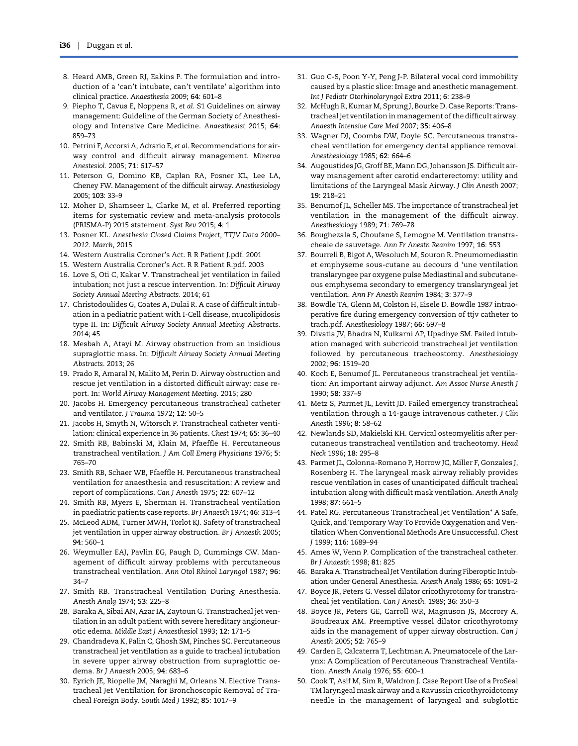- <span id="page-8-0"></span>8. Heard AMB, Green RJ, Eakins P. The formulation and introduction of a 'can't intubate, can't ventilate' algorithm into clinical practice. Anaesthesia 2009; 64: 601–8
- 9. Piepho T, Cavus E, Noppens R, et al. S1 Guidelines on airway management: Guideline of the German Society of Anesthesiology and Intensive Care Medicine. Anaesthesist 2015; 64: 859–73
- 10. Petrini F, Accorsi A, Adrario E, et al. Recommendations for airway control and difficult airway management. Minerva Anestesiol. 2005; 71: 617–57
- 11. Peterson G, Domino KB, Caplan RA, Posner KL, Lee LA, Cheney FW. Management of the difficult airway. Anesthesiology 2005; 103: 33–9
- 12. Moher D, Shamseer L, Clarke M, et al. Preferred reporting items for systematic review and meta-analysis protocols (PRISMA-P) 2015 statement. Syst Rev 2015; 4: 1
- 13. Posner KL. Anesthesia Closed Claims Project, TTJV Data 2000– 2012. March, 2015
- 14. Western Australia Coroner's Act. R R Patient J.pdf. 2001
- 15. Western Australia Coroner's Act. R R Patient R.pdf. 2003
- 16. Love S, Oti C, Kakar V. Transtracheal jet ventilation in failed intubation; not just a rescue intervention. In: Difficult Airway Society Annual Meeting Abstracts. 2014; 61
- 17. Christodoulides G, Coates A, Dulai R. A case of difficult intubation in a pediatric patient with I-Cell disease, mucolipidosis type II. In: Difficult Airway Society Annual Meeting Abstracts. 2014; 45
- 18. Mesbah A, Atayi M. Airway obstruction from an insidious supraglottic mass. In: Difficult Airway Society Annual Meeting Abstracts. 2013; 26
- 19. Prado R, Amaral N, Malito M, Perin D. Airway obstruction and rescue jet ventilation in a distorted difficult airway: case report. In: World Airway Management Meeting. 2015; 280
- 20. Jacobs H. Emergency percutaneous transtracheal catheter and ventilator. J Trauma 1972; 12: 50–5
- 21. Jacobs H, Smyth N, Witorsch P. Transtracheal catheter ventilation: clinical experience in 36 patients. Chest 1974; 65: 36–40
- 22. Smith RB, Babinski M, Klain M, Pfaeffle H. Percutaneous transtracheal ventilation. J Am Coll Emerg Physicians 1976; 5: 765–70
- 23. Smith RB, Schaer WB, Pfaeffle H. Percutaneous transtracheal ventilation for anaesthesia and resuscitation: A review and report of complications. Can J Anesth 1975; 22: 607–12
- 24. Smith RB, Myers E, Sherman H. Transtracheal ventilation in paediatric patients case reports. Br J Anaesth 1974; 46: 313–4
- 25. McLeod ADM, Turner MWH, Torlot KJ. Safety of transtracheal jet ventilation in upper airway obstruction. Br J Anaesth 2005; 94: 560–1
- 26. Weymuller EAJ, Pavlin EG, Paugh D, Cummings CW. Management of difficult airway problems with percutaneous transtracheal ventilation. Ann Otol Rhinol Laryngol 1987; 96: 34–7
- 27. Smith RB. Transtracheal Ventilation During Anesthesia. Anesth Analg 1974; 53: 225–8
- 28. Baraka A, Sibai AN, Azar IA, Zaytoun G. Transtracheal jet ventilation in an adult patient with severe hereditary angioneurotic edema. Middle East J Anaesthesiol 1993; 12: 171–5
- 29. Chandradeva K, Palin C, Ghosh SM, Pinches SC. Percutaneous transtracheal jet ventilation as a guide to tracheal intubation in severe upper airway obstruction from supraglottic oedema. Br J Anaesth 2005; 94: 683–6
- 30. Eyrich JE, Riopelle JM, Naraghi M, Orleans N. Elective Transtracheal Jet Ventilation for Bronchoscopic Removal of Tracheal Foreign Body. South Med J 1992; 85: 1017–9
- 31. Guo C-S, Poon Y-Y, Peng J-P. Bilateral vocal cord immobility caused by a plastic slice: Image and anesthetic management. Int J Pediatr Otorhinolaryngol Extra 2011; 6: 238–9
- 32. McHugh R, Kumar M, Sprung J, Bourke D. Case Reports: Transtracheal jet ventilation in management of the difficult airway. Anaesth Intensive Care Med 2007; 35: 406–8
- 33. Wagner DJ, Coombs DW, Doyle SC. Percutaneous transtracheal ventilation for emergency dental appliance removal. Anesthesiology 1985; 62: 664–6
- 34. Augoustides JG, Groff BE, Mann DG, Johansson JS. Difficult airway management after carotid endarterectomy: utility and limitations of the Laryngeal Mask Airway. J Clin Anesth 2007; 19: 218–21
- 35. Benumof JL, Scheller MS. The importance of transtracheal jet ventilation in the management of the difficult airway. Anesthesiology 1989; 71: 769–78
- 36. Boughezala S, Choufane S, Lemogne M. Ventilation transtracheale de sauvetage. Ann Fr Anesth Reanim 1997; 16: 553
- 37. Bourreli B, Bigot A, Wesoluch M, Souron R. Pneumomediastin et emphyseme sous-cutane au decours d 'une ventilation translaryngee par oxygene pulse Mediastinal and subcutaneous emphysema secondary to emergency translaryngeal jet ventilation. Ann Fr Anesth Reanim 1984; 3: 377–9
- 38. Bowdle TA, Glenn M, Colston H, Eisele D. Bowdle 1987 intraoperative fire during emergency conversion of ttjv catheter to trach.pdf. Anesthesiology 1987; 66: 697–8
- 39. Divatia JV, Bhadra N, Kulkarni AP, Upadhye SM. Failed intubation managed with subcricoid transtracheal jet ventilation followed by percutaneous tracheostomy. Anesthesiology 2002; 96: 1519–20
- 40. Koch E, Benumof JL. Percutaneous transtracheal jet ventilation: An important airway adjunct. Am Assoc Nurse Anesth J 1990; 58: 337–9
- 41. Metz S, Parmet JL, Levitt JD. Failed emergency transtracheal ventilation through a 14-gauge intravenous catheter. J Clin Anesth 1996; 8: 58–62
- 42. Newlands SD, Makielski KH. Cervical osteomyelitis after percutaneous transtracheal ventilation and tracheotomy. Head Neck 1996; 18: 295–8
- 43. Parmet JL, Colonna-Romano P, Horrow JC, Miller F, Gonzales J, Rosenberg H. The laryngeal mask airway reliably provides rescue ventilation in cases of unanticipated difficult tracheal intubation along with difficult mask ventilation. Anesth Analg 1998; 87: 661–5
- 44. Patel RG. Percutaneous Transtracheal Jet Ventilation\* A Safe, Quick, and Temporary Way To Provide Oxygenation and Ventilation When Conventional Methods Are Unsuccessful. Chest J 1999; 116: 1689–94
- 45. Ames W, Venn P. Complication of the transtracheal catheter. Br J Anaesth 1998; 81: 825
- 46. Baraka A. Transtracheal Jet Ventilation during Fiberoptic Intubation under General Anesthesia. Anesth Analg 1986; 65: 1091–2
- 47. Boyce JR, Peters G. Vessel dilator cricothyrotomy for transtracheal jet ventilation. Can J Anesth. 1989; 36: 350–3
- 48. Boyce JR, Peters GE, Carroll WR, Magnuson JS, Mccrory A, Boudreaux AM. Preemptive vessel dilator cricothyrotomy aids in the management of upper airway obstruction. Can J Anesth 2005; 52: 765–9
- 49. Carden E, Calcaterra T, Lechtman A. Pneumatocele of the Larynx: A Complication of Percutaneous TranstracheaI VentiIation. Anesth Analg 1976; 55: 600–1
- 50. Cook T, Asif M, Sim R, Waldron J. Case Report Use of a ProSeal TM laryngeal mask airway and a Ravussin cricothyroidotomy needle in the management of laryngeal and subglottic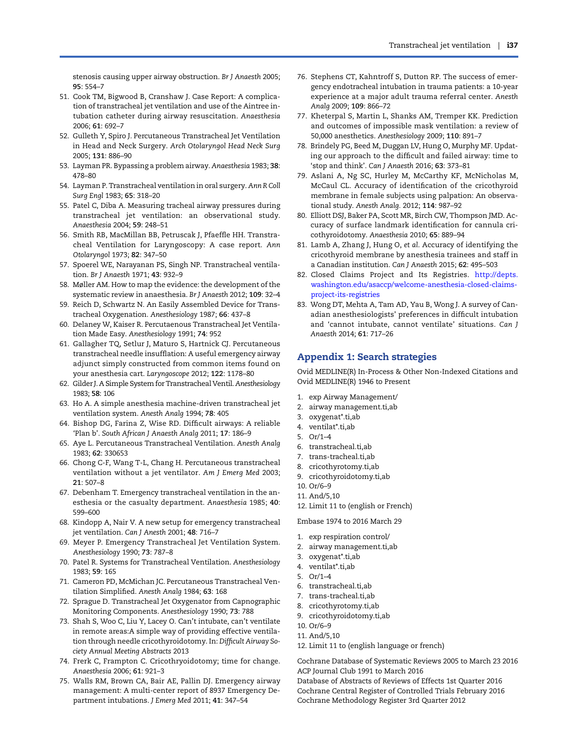<span id="page-9-0"></span>stenosis causing upper airway obstruction. Br J Anaesth 2005; 95: 554–7

- 51. Cook TM, Bigwood B, Cranshaw J. Case Report: A complication of transtracheal jet ventilation and use of the Aintree intubation catheter during airway resuscitation. Anaesthesia 2006; 61: 692–7
- 52. Gulleth Y, Spiro J. Percutaneous Transtracheal Jet Ventilation in Head and Neck Surgery. Arch Otolaryngol Head Neck Surg 2005; 131: 886–90
- 53. Layman PR. Bypassing a problem airway. Anaesthesia 1983; 38: 478–80
- 54. Layman P. Transtracheal ventilation in oral surgery. Ann R Coll Surg Engl 1983; 65: 318–20
- 55. Patel C, Diba A. Measuring tracheal airway pressures during transtracheal jet ventilation: an observational study. Anaesthesia 2004; 59: 248–51
- 56. Smith RB, MacMillan BB, Petruscak J, Pfaeffle HH. Transtracheal Ventilation for Laryngoscopy: A case report. Ann Otolaryngol 1973; 82: 347–50
- 57. Spoerel WE, Narayanan PS, Singh NP. Transtracheal ventilation. Br J Anaesth 1971; 43: 932–9
- 58. Møller AM. How to map the evidence: the development of the systematic review in anaesthesia. Br J Anaesth 2012; 109: 32–4
- 59. Reich D, Schwartz N. An Easily Assembled Device for Transtracheal Oxygenation. Anesthesiology 1987; 66: 437–8
- 60. Delaney W, Kaiser R. Percutaenous Transtracheal Jet Ventilation Made Easy. Anesthesiology 1991; 74: 952
- 61. Gallagher TQ, Setlur J, Maturo S, Hartnick CJ. Percutaneous transtracheal needle insufflation: A useful emergency airway adjunct simply constructed from common items found on your anesthesia cart. Laryngoscope 2012; 122: 1178–80
- 62. Gilder J. A Simple System for Transtracheal Ventil. Anesthesiology 1983; 58: 106
- 63. Ho A. A simple anesthesia machine-driven transtracheal jet ventilation system. Anesth Analg 1994; 78: 405
- 64. Bishop DG, Farina Z, Wise RD. Difficult airways: A reliable 'Plan b'. South African J Anaesth Analg 2011; 17: 186–9
- 65. Aye L. Percutaneous Transtracheal Ventilation. Anesth Analg 1983; 62: 330653
- 66. Chong C-F, Wang T-L, Chang H. Percutaneous transtracheal ventilation without a jet ventilator. Am J Emerg Med 2003;  $21.507 - 8$
- 67. Debenham T. Emergency transtracheal ventilation in the anesthesia or the casualty department. Anaesthesia 1985; 40: 599–600
- 68. Kindopp A, Nair V. A new setup for emergency transtracheal jet ventilation. Can J Anesth 2001; 48: 716–7
- 69. Meyer P. Emergency Transtracheal Jet Ventilation System. Anesthesiology 1990; 73: 787–8
- 70. Patel R. Systems for Transtracheal Ventilation. Anesthesiology 1983; 59: 165
- 71. Cameron PD, McMichan JC. Percutaneous Transtracheal Ventilation Simplified. Anesth Analg 1984; 63: 168
- 72. Sprague D. Transtracheal Jet Oxygenator from Capnographic Monitoring Components. Anesthesiology 1990; 73: 788
- 73. Shah S, Woo C, Liu Y, Lacey O. Can't intubate, can't ventilate in remote areas:A simple way of providing effective ventilation through needle cricothyroidotomy. In: Difficult Airway Society Annual Meeting Abstracts 2013
- 74. Frerk C, Frampton C. Cricothryoidotomy; time for change. Anaesthesia 2006; 61: 921–3
- 75. Walls RM, Brown CA, Bair AE, Pallin DJ. Emergency airway management: A multi-center report of 8937 Emergency Department intubations. J Emerg Med 2011; 41: 347–54
- 76. Stephens CT, Kahntroff S, Dutton RP. The success of emergency endotracheal intubation in trauma patients: a 10-year experience at a major adult trauma referral center. Anesth Analg 2009; 109: 866–72
- 77. Kheterpal S, Martin L, Shanks AM, Tremper KK. Prediction and outcomes of impossible mask ventilation: a review of 50,000 anesthetics. Anesthesiology 2009; 110: 891–7
- 78. Brindely PG, Beed M, Duggan LV, Hung O, Murphy MF. Updating our approach to the difficult and failed airway: time to 'stop and think'. Can J Anaesth 2016; 63: 373–81
- 79. Aslani A, Ng SC, Hurley M, McCarthy KF, McNicholas M, McCaul CL. Accuracy of identification of the cricothyroid membrane in female subjects using palpation: An observational study. Anesth Analg. 2012; 114: 987–92
- 80. Elliott DSJ, Baker PA, Scott MR, Birch CW, Thompson JMD. Accuracy of surface landmark identification for cannula cricothyroidotomy. Anaesthesia 2010; 65: 889–94
- 81. Lamb A, Zhang J, Hung O, et al. Accuracy of identifying the cricothyroid membrane by anesthesia trainees and staff in a Canadian institution. Can J Anaesth 2015; 62: 495–503
- 82. Closed Claims Project and Its Registries. [http://depts.](http://depts.washington.edu/asaccp/welcome-anesthesia-closed-claims-project-its-registries) [washington.edu/asaccp/welcome-anesthesia-closed-claims](http://depts.washington.edu/asaccp/welcome-anesthesia-closed-claims-project-its-registries)[project-its-registries](http://depts.washington.edu/asaccp/welcome-anesthesia-closed-claims-project-its-registries)
- 83. Wong DT, Mehta A, Tam AD, Yau B, Wong J. A survey of Canadian anesthesiologists' preferences in difficult intubation and 'cannot intubate, cannot ventilate' situations. Can J Anaesth 2014; 61: 717–26

## Appendix 1: Search strategies

Ovid MEDLINE(R) In-Process & Other Non-Indexed Citations and Ovid MEDLINE(R) 1946 to Present

- 1. exp Airway Management/
- 2. airway management.ti,ab
- 3. oxygenat\*.ti,ab
- 4. ventilat\*.ti,ab
- 5. Or/1–4
- 6. transtracheal.ti,ab
- 7. trans-tracheal.ti,ab
- 8. cricothyrotomy.ti,ab
- 9. cricothyroidotomy.ti,ab
- 10. Or/6–9
- 11. And/5,10
- 12. Limit 11 to (english or French)

#### Embase 1974 to 2016 March 29

- 1. exp respiration control/
- 2. airway management.ti,ab
- 3. oxygenat\*.ti,ab
- 4. ventilat\*.ti,ab
- 5. Or/1–4
- 6. transtracheal.ti,ab
- 7. trans-tracheal.ti,ab
- 8. cricothyrotomy.ti,ab
- 9. cricothyroidotomy.ti,ab
- 10. Or/6–9
- 11. And/5,10
- 12. Limit 11 to (english language or french)

Cochrane Database of Systematic Reviews 2005 to March 23 2016 ACP Journal Club 1991 to March 2016

Database of Abstracts of Reviews of Effects 1st Quarter 2016 Cochrane Central Register of Controlled Trials February 2016 Cochrane Methodology Register 3rd Quarter 2012